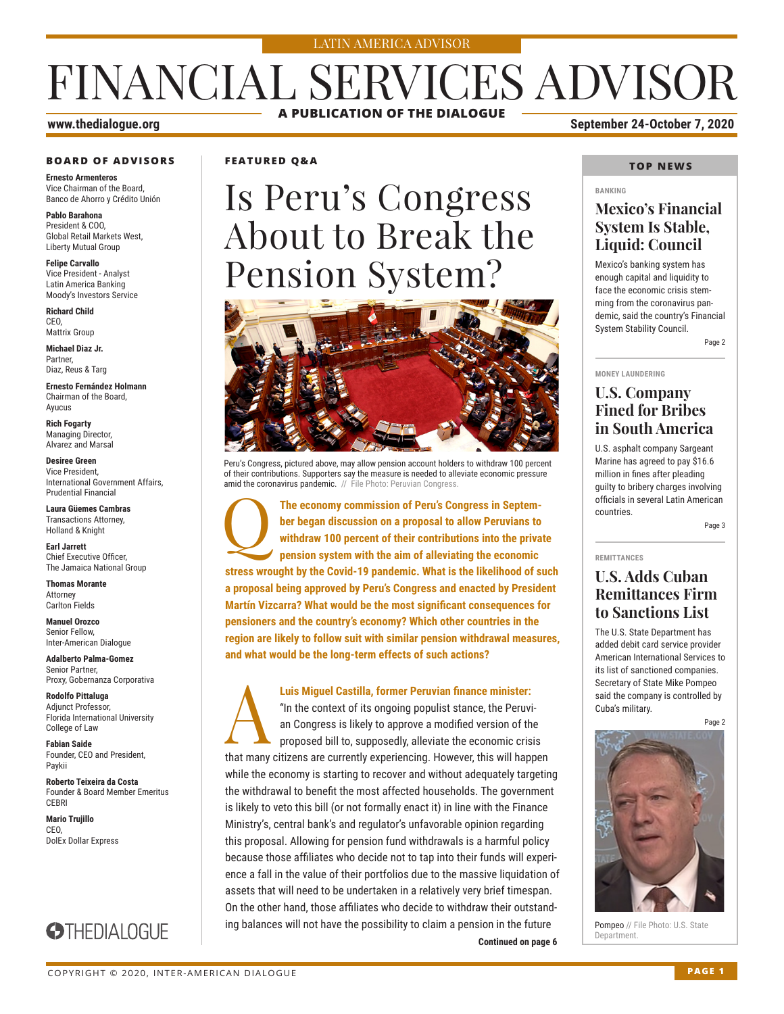#### LATIN AMERICA ADVISOR

## FINANCIAL SERVICES ADVISOR **A PUBLICATION OF THE DIALOGUE**

#### **BOARD OF ADVISORS**

**Ernesto Armenteros** Vice Chairman of the Board, Banco de Ahorro y Crédito Unión

**Pablo Barahona** President & COO, Global Retail Markets West, Liberty Mutual Group

**Felipe Carvallo** Vice President - Analyst Latin America Banking Moody's Investors Service

**Richard Child** CEO, Mattrix Group

**Michael Diaz Jr.** Partner, Diaz, Reus & Targ

**Ernesto Fernández Holmann** Chairman of the Board, Ayucus

**Rich Fogarty** Managing Director, Alvarez and Marsal

**Desiree Green** Vice President, International Government Affairs, Prudential Financial

**Laura Güemes Cambras** Transactions Attorney, Holland & Knight

**Earl Jarrett** Chief Executive Officer, The Jamaica National Group

**Thomas Morante** Attorney Carlton Fields

**Manuel Orozco** Senior Fellow, Inter-American Dialogue

**Adalberto Palma-Gomez** Senior Partner, Proxy, Gobernanza Corporativa

**Rodolfo Pittaluga** Adjunct Professor, Florida International University College of Law

**Fabian Saide**  Founder, CEO and President, Paykii

**Roberto Teixeira da Costa** Founder & Board Member Emeritus **CERRI** 

**Mario Trujillo** CEO, DolEx Dollar Express



#### **FEATURED Q&A**

# Is Peru's Congress About to Break the Pension System?



Peru's Congress, pictured above, may allow pension account holders to withdraw 100 percent of their contributions. Supporters say the measure is needed to alleviate economic pressure amid the coronavirus pandemic. // File Photo: Peruvian Congress.

Q**The economy commission of Peru's Congress in September began discussion on a proposal to allow Peruvians to withdraw 100 percent of their contributions into the private pension system with the aim of alleviating the economic stress wrought by the Covid-19 pandemic. What is the likelihood of such a proposal being approved by Peru's Congress and enacted by President Martín Vizcarra? What would be the most significant consequences for pensioners and the country's economy? Which other countries in the region are likely to follow suit with similar pension withdrawal measures, and what would be the long-term effects of such actions?**

**Continued on page 6 Luis Miguel Castilla, former Peruvian finance minister:**<br>"In the context of its ongoing populist stance, the Peruv<br>an Congress is likely to approve a modified version of the<br>proposed bill to, supposedly, alleviate the eco "In the context of its ongoing populist stance, the Peruvian Congress is likely to approve a modified version of the proposed bill to, supposedly, alleviate the economic crisis that many citizens are currently experiencing. However, this will happen while the economy is starting to recover and without adequately targeting the withdrawal to benefit the most affected households. The government is likely to veto this bill (or not formally enact it) in line with the Finance Ministry's, central bank's and regulator's unfavorable opinion regarding this proposal. Allowing for pension fund withdrawals is a harmful policy because those affiliates who decide not to tap into their funds will experience a fall in the value of their portfolios due to the massive liquidation of assets that will need to be undertaken in a relatively very brief timespan. On the other hand, those affiliates who decide to withdraw their outstanding balances will not have the possibility to claim a pension in the future

#### **www.thedialogue.org September 24-October 7, 2020**

#### **TOP NEWS**

#### **BANKING**

#### **Mexico's Financial System Is Stable, Liquid: Council**

Mexico's banking system has enough capital and liquidity to face the economic crisis stemming from the coronavirus pandemic, said the country's Financial System Stability Council. Page 2

**MONEY LAUNDERING**

#### **U.S. Company Fined for Bribes in South America**

U.S. asphalt company Sargeant Marine has agreed to pay \$16.6 million in fines after pleading guilty to bribery charges involving officials in several Latin American countries.

Page 3

#### **REMITTANCES**

#### **U.S. Adds Cuban Remittances Firm to Sanctions List**

The U.S. State Department has added debit card service provider American International Services to its list of sanctioned companies. Secretary of State Mike Pompeo said the company is controlled by Cuba's military.

Page 2



Pompeo // File Photo: U.S. State<br>Department.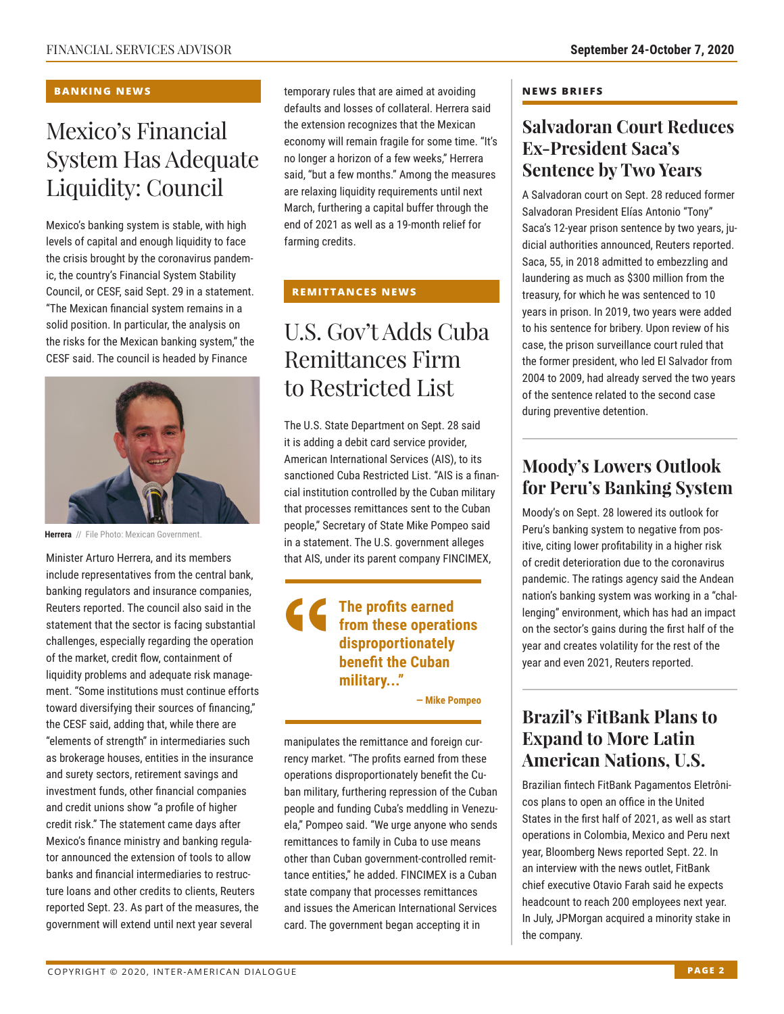#### **BANKING NEWS**

### Mexico's Financial System Has Adequate Liquidity: Council

Mexico's banking system is stable, with high levels of capital and enough liquidity to face the crisis brought by the coronavirus pandemic, the country's Financial System Stability Council, or CESF, said Sept. 29 in a statement. "The Mexican financial system remains in a solid position. In particular, the analysis on the risks for the Mexican banking system," the CESF said. The council is headed by Finance



**Herrera** // File Photo: Mexican Government.

Minister Arturo Herrera, and its members include representatives from the central bank, banking regulators and insurance companies, Reuters reported. The council also said in the statement that the sector is facing substantial challenges, especially regarding the operation of the market, credit flow, containment of liquidity problems and adequate risk management. "Some institutions must continue efforts toward diversifying their sources of financing," the CESF said, adding that, while there are "elements of strength" in intermediaries such as brokerage houses, entities in the insurance and surety sectors, retirement savings and investment funds, other financial companies and credit unions show "a profile of higher credit risk." The statement came days after Mexico's finance ministry and banking regulator announced the extension of tools to allow banks and financial intermediaries to restructure loans and other credits to clients, Reuters reported Sept. 23. As part of the measures, the government will extend until next year several

temporary rules that are aimed at avoiding defaults and losses of collateral. Herrera said the extension recognizes that the Mexican economy will remain fragile for some time. "It's no longer a horizon of a few weeks," Herrera said, "but a few months." Among the measures are relaxing liquidity requirements until next March, furthering a capital buffer through the end of 2021 as well as a 19-month relief for farming credits.

#### **REMITTANCES NEWS**

### U.S. Gov't Adds Cuba Remittances Firm to Restricted List

The U.S. State Department on Sept. 28 said it is adding a debit card service provider, American International Services (AIS), to its sanctioned Cuba Restricted List. "AIS is a financial institution controlled by the Cuban military that processes remittances sent to the Cuban people," Secretary of State Mike Pompeo said in a statement. The U.S. government alleges that AIS, under its parent company FINCIMEX,

#### **The profits earned from these operations disproportionately benefit the Cuban military..."**

**— Mike Pompeo**

manipulates the remittance and foreign currency market. "The profits earned from these operations disproportionately benefit the Cuban military, furthering repression of the Cuban people and funding Cuba's meddling in Venezuela," Pompeo said. "We urge anyone who sends remittances to family in Cuba to use means other than Cuban government-controlled remittance entities," he added. FINCIMEX is a Cuban state company that processes remittances and issues the American International Services card. The government began accepting it in

#### **NEWS BRIEFS**

### **Salvadoran Court Reduces Ex-President Saca's Sentence by Two Years**

A Salvadoran court on Sept. 28 reduced former Salvadoran President Elías Antonio "Tony" Saca's 12-year prison sentence by two years, judicial authorities announced, Reuters reported. Saca, 55, in 2018 admitted to embezzling and laundering as much as \$300 million from the treasury, for which he was sentenced to 10 years in prison. In 2019, two years were added to his sentence for bribery. Upon review of his case, the prison surveillance court ruled that the former president, who led El Salvador from 2004 to 2009, had already served the two years of the sentence related to the second case during preventive detention.

### **Moody's Lowers Outlook for Peru's Banking System**

Moody's on Sept. 28 lowered its outlook for Peru's banking system to negative from positive, citing lower profitability in a higher risk of credit deterioration due to the coronavirus pandemic. The ratings agency said the Andean nation's banking system was working in a "challenging" environment, which has had an impact on the sector's gains during the first half of the year and creates volatility for the rest of the year and even 2021, Reuters reported.

### **Brazil's FitBank Plans to Expand to More Latin American Nations, U.S.**

Brazilian fintech FitBank Pagamentos Eletrônicos plans to open an office in the United States in the first half of 2021, as well as start operations in Colombia, Mexico and Peru next year, Bloomberg News reported Sept. 22. In an interview with the news outlet, FitBank chief executive Otavio Farah said he expects headcount to reach 200 employees next year. In July, JPMorgan acquired a minority stake in the company.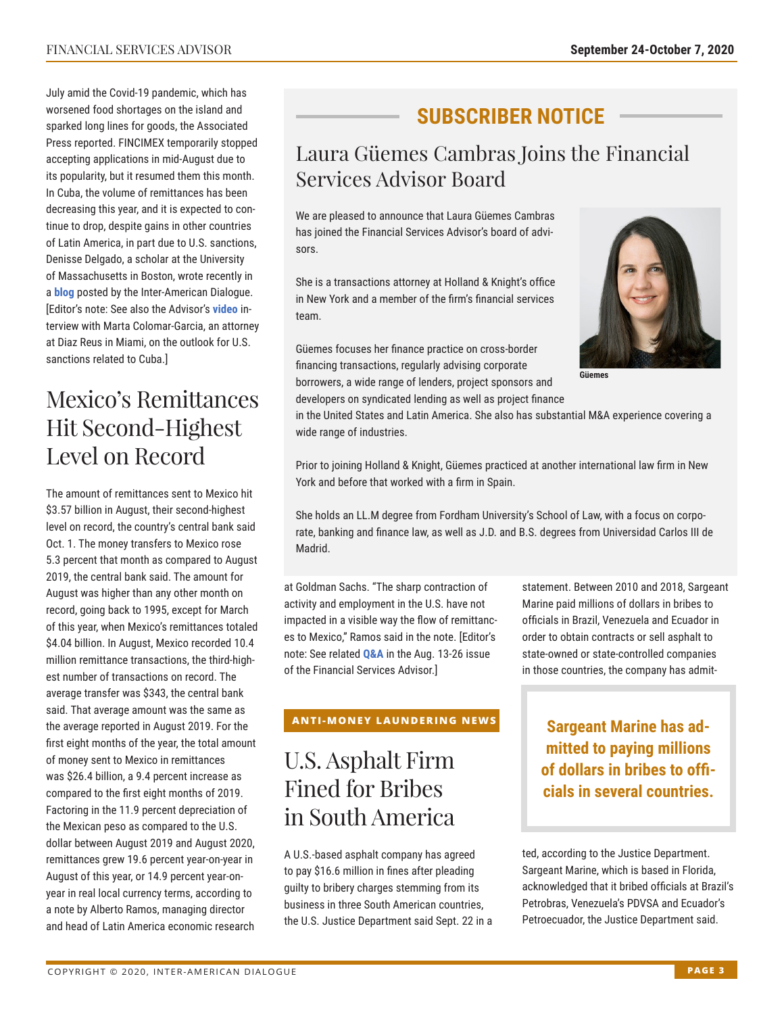July amid the Covid-19 pandemic, which has worsened food shortages on the island and sparked long lines for goods, the Associated Press reported. FINCIMEX temporarily stopped accepting applications in mid-August due to its popularity, but it resumed them this month. In Cuba, the volume of remittances has been decreasing this year, and it is expected to continue to drop, despite gains in other countries of Latin America, in part due to U.S. sanctions, Denisse Delgado, a scholar at the University of Massachusetts in Boston, wrote recently in a **[blog](https://www.thedialogue.org/blogs/2020/09/the-nexus-of-digital-platforms-and-cryptocurrency-remittances-to-cuba-during-the-covid-19-pandemic/)** posted by the Inter-American Dialogue. [Editor's note: See also the Advisor's **[video](https://www.youtube.com/watch?v=rldERAxhNno&feature=youtu.be)** interview with Marta Colomar-Garcia, an attorney at Diaz Reus in Miami, on the outlook for U.S. sanctions related to Cuba.]

### Mexico's Remittances Hit Second-Highest Level on Record

The amount of remittances sent to Mexico hit \$3.57 billion in August, their second-highest level on record, the country's central bank said Oct. 1. The money transfers to Mexico rose 5.3 percent that month as compared to August 2019, the central bank said. The amount for August was higher than any other month on record, going back to 1995, except for March of this year, when Mexico's remittances totaled \$4.04 billion. In August, Mexico recorded 10.4 million remittance transactions, the third-highest number of transactions on record. The average transfer was \$343, the central bank said. That average amount was the same as the average reported in August 2019. For the first eight months of the year, the total amount of money sent to Mexico in remittances was \$26.4 billion, a 9.4 percent increase as compared to the first eight months of 2019. Factoring in the 11.9 percent depreciation of the Mexican peso as compared to the U.S. dollar between August 2019 and August 2020, remittances grew 19.6 percent year-on-year in August of this year, or 14.9 percent year-onyear in real local currency terms, according to a note by Alberto Ramos, managing director and head of Latin America economic research

### **SUBSCRIBER NOTICE**

### Laura Güemes Cambras Joins the Financial Services Advisor Board

We are pleased to announce that Laura Güemes Cambras has joined the Financial Services Advisor's board of advisors.

She is a transactions attorney at Holland & Knight's office in New York and a member of the firm's financial services team.

Güemes focuses her finance practice on cross-border financing transactions, regularly advising corporate borrowers, a wide range of lenders, project sponsors and developers on syndicated lending as well as project finance



**Güemes**

in the United States and Latin America. She also has substantial M&A experience covering a wide range of industries.

Prior to joining Holland & Knight, Güemes practiced at another international law firm in New York and before that worked with a firm in Spain.

She holds an LL.M degree from Fordham University's School of Law, with a focus on corporate, banking and finance law, as well as J.D. and B.S. degrees from Universidad Carlos III de Madrid.

at Goldman Sachs. "The sharp contraction of activity and employment in the U.S. have not impacted in a visible way the flow of remittances to Mexico," Ramos said in the note. [Editor's note: See related **[Q&A](http://www.thedialogue.org/wp-content/uploads/2020/08/FSA200826.pdf)** in the Aug. 13-26 issue of the Financial Services Advisor.]

#### **ANTI-MONEY LAUNDERING NEWS**

### U.S. Asphalt Firm Fined for Bribes in South America

A U.S.-based asphalt company has agreed to pay \$16.6 million in fines after pleading guilty to bribery charges stemming from its business in three South American countries, the U.S. Justice Department said Sept. 22 in a statement. Between 2010 and 2018, Sargeant Marine paid millions of dollars in bribes to officials in Brazil, Venezuela and Ecuador in order to obtain contracts or sell asphalt to state-owned or state-controlled companies in those countries, the company has admit-

**Sargeant Marine has admitted to paying millions of dollars in bribes to officials in several countries.**

ted, according to the Justice Department. Sargeant Marine, which is based in Florida, acknowledged that it bribed officials at Brazil's Petrobras, Venezuela's PDVSA and Ecuador's Petroecuador, the Justice Department said.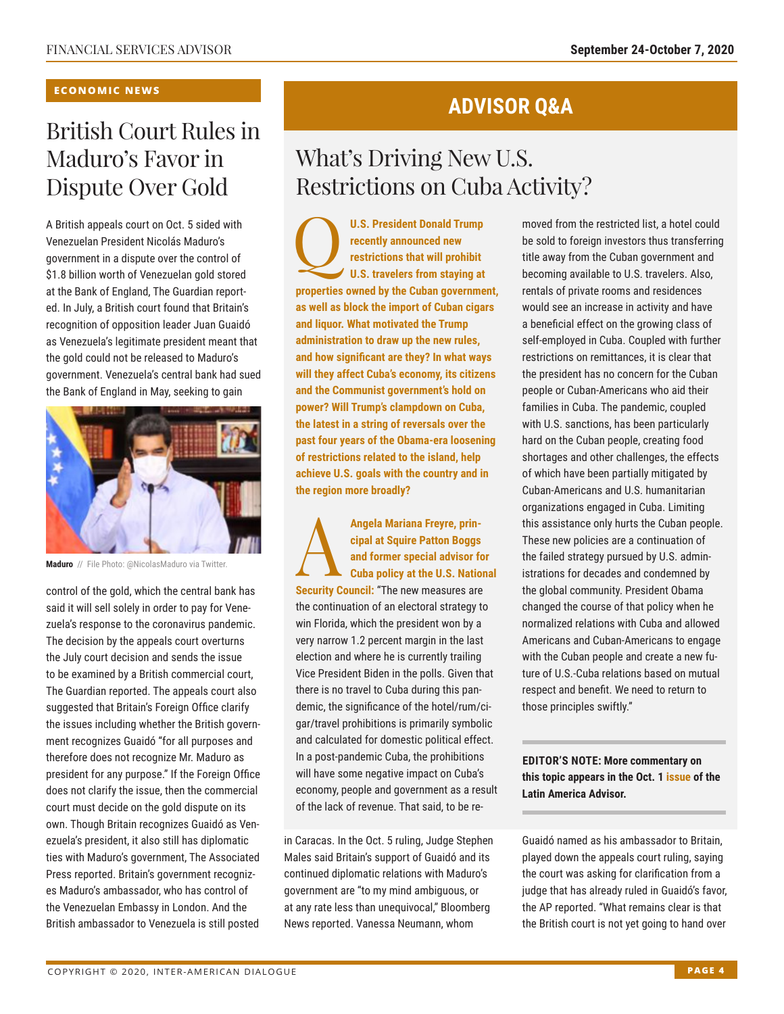#### **ECONOMIC NEWS**

### British Court Rules in Maduro's Favor in Dispute Over Gold

A British appeals court on Oct. 5 sided with Venezuelan President Nicolás Maduro's government in a dispute over the control of \$1.8 billion worth of Venezuelan gold stored at the Bank of England, The Guardian reported. In July, a British court found that Britain's recognition of opposition leader Juan Guaidó as Venezuela's legitimate president meant that the gold could not be released to Maduro's government. Venezuela's central bank had sued the Bank of England in May, seeking to gain



**Maduro** // File Photo: @NicolasMaduro via Twitter.

control of the gold, which the central bank has said it will sell solely in order to pay for Venezuela's response to the coronavirus pandemic. The decision by the appeals court overturns the July court decision and sends the issue to be examined by a British commercial court, The Guardian reported. The appeals court also suggested that Britain's Foreign Office clarify the issues including whether the British government recognizes Guaidó "for all purposes and therefore does not recognize Mr. Maduro as president for any purpose." If the Foreign Office does not clarify the issue, then the commercial court must decide on the gold dispute on its own. Though Britain recognizes Guaidó as Venezuela's president, it also still has diplomatic ties with Maduro's government, The Associated Press reported. Britain's government recognizes Maduro's ambassador, who has control of the Venezuelan Embassy in London. And the British ambassador to Venezuela is still posted

### **ADVISOR Q&A**

### What's Driving New U.S. Restrictions on Cuba Activity?

U.S. President Donald Trump<br> **PERICAL TENDER FRAMELY**<br>
U.S. travelers from staying at **recently announced new restrictions that will prohibit properties owned by the Cuban government, as well as block the import of Cuban cigars and liquor. What motivated the Trump administration to draw up the new rules, and how significant are they? In what ways will they affect Cuba's economy, its citizens and the Communist government's hold on power? Will Trump's clampdown on Cuba, the latest in a string of reversals over the past four years of the Obama-era loosening of restrictions related to the island, help achieve U.S. goals with the country and in the region more broadly?**

Angela Mariana Freyre, prin-<br>
cipal at Squire Patton Boggs<br>
and former special advisor for<br>
Cuba policy at the U.S. National Security Council: "The new measures are **cipal at Squire Patton Boggs and former special advisor for Cuba policy at the U.S. National Security Council: "The new measures are** the continuation of an electoral strategy to win Florida, which the president won by a very narrow 1.2 percent margin in the last election and where he is currently trailing Vice President Biden in the polls. Given that there is no travel to Cuba during this pandemic, the significance of the hotel/rum/cigar/travel prohibitions is primarily symbolic and calculated for domestic political effect. In a post-pandemic Cuba, the prohibitions will have some negative impact on Cuba's economy, people and government as a result of the lack of revenue. That said, to be re-

in Caracas. In the Oct. 5 ruling, Judge Stephen Males said Britain's support of Guaidó and its continued diplomatic relations with Maduro's government are "to my mind ambiguous, or at any rate less than unequivocal," Bloomberg News reported. Vanessa Neumann, whom

moved from the restricted list, a hotel could be sold to foreign investors thus transferring title away from the Cuban government and becoming available to U.S. travelers. Also, rentals of private rooms and residences would see an increase in activity and have a beneficial effect on the growing class of self-employed in Cuba. Coupled with further restrictions on remittances, it is clear that the president has no concern for the Cuban people or Cuban-Americans who aid their families in Cuba. The pandemic, coupled with U.S. sanctions, has been particularly hard on the Cuban people, creating food shortages and other challenges, the effects of which have been partially mitigated by Cuban-Americans and U.S. humanitarian organizations engaged in Cuba. Limiting this assistance only hurts the Cuban people. These new policies are a continuation of the failed strategy pursued by U.S. administrations for decades and condemned by the global community. President Obama changed the course of that policy when he normalized relations with Cuba and allowed Americans and Cuban-Americans to engage with the Cuban people and create a new future of U.S.-Cuba relations based on mutual respect and benefit. We need to return to those principles swiftly."

**EDITOR'S NOTE: More commentary on this topic appears in the Oct. [1 issue of](http://www.thedialogue.org/wp-content/uploads/2020/10/LAA201001.pdf) the Latin America Advisor.**

Guaidó named as his ambassador to Britain, played down the appeals court ruling, saying the court was asking for clarification from a judge that has already ruled in Guaidó's favor, the AP reported. "What remains clear is that the British court is not yet going to hand over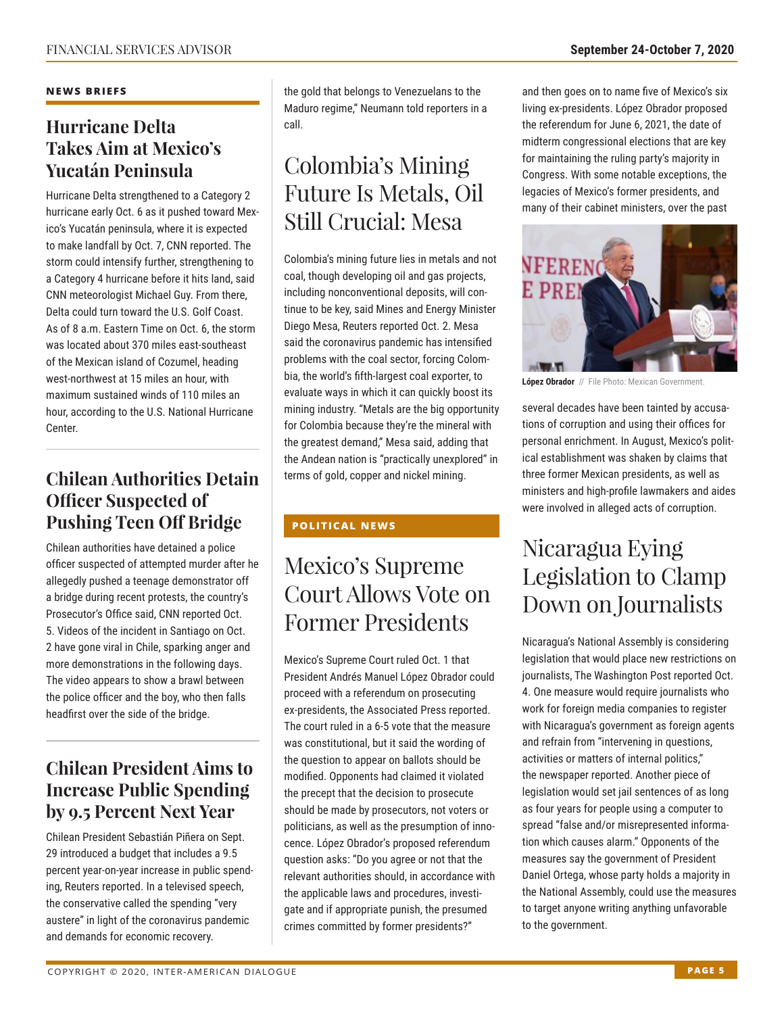#### **NEWS BRIEFS**

### **Hurricane Delta Takes Aim at Mexico's Yucatán Peninsula**

Hurricane Delta strengthened to a Category 2 hurricane early Oct. 6 as it pushed toward Mexico's Yucatán peninsula, where it is expected to make landfall by Oct. 7, CNN reported. The storm could intensify further, strengthening to a Category 4 hurricane before it hits land, said CNN meteorologist Michael Guy. From there, Delta could turn toward the U.S. Golf Coast. As of 8 a.m. Eastern Time on Oct. 6, the storm was located about 370 miles east-southeast of the Mexican island of Cozumel, heading west-northwest at 15 miles an hour, with maximum sustained winds of 110 miles an hour, according to the U.S. National Hurricane Center.

### **Chilean Authorities Detain Officer Suspected of Pushing Teen Off Bridge**

Chilean authorities have detained a police officer suspected of attempted murder after he allegedly pushed a teenage demonstrator off a bridge during recent protests, the country's Prosecutor's Office said, CNN reported Oct. 5. Videos of the incident in Santiago on Oct. 2 have gone viral in Chile, sparking anger and more demonstrations in the following days. The video appears to show a brawl between the police officer and the boy, who then falls headfirst over the side of the bridge.

### **Chilean President Aims to Increase Public Spending by 9.5 Percent Next Year**

Chilean President Sebastián Piñera on Sept. 29 introduced a budget that includes a 9.5 percent year-on-year increase in public spending, Reuters reported. In a televised speech, the conservative called the spending "very austere" in light of the coronavirus pandemic and demands for economic recovery.

the gold that belongs to Venezuelans to the Maduro regime," Neumann told reporters in a call.

### Colombia's Mining Future Is Metals, Oil Still Crucial: Mesa

Colombia's mining future lies in metals and not coal, though developing oil and gas projects, including nonconventional deposits, will continue to be key, said Mines and Energy Minister Diego Mesa, Reuters reported Oct. 2. Mesa said the coronavirus pandemic has intensified problems with the coal sector, forcing Colombia, the world's fifth-largest coal exporter, to evaluate ways in which it can quickly boost its mining industry. "Metals are the big opportunity for Colombia because they're the mineral with the greatest demand," Mesa said, adding that the Andean nation is "practically unexplored" in terms of gold, copper and nickel mining.

#### **POLITICAL NEWS**

### Mexico's Supreme Court Allows Vote on Former Presidents

Mexico's Supreme Court ruled Oct. 1 that President Andrés Manuel López Obrador could proceed with a referendum on prosecuting ex-presidents, the Associated Press reported. The court ruled in a 6-5 vote that the measure was constitutional, but it said the wording of the question to appear on ballots should be modified. Opponents had claimed it violated the precept that the decision to prosecute should be made by prosecutors, not voters or politicians, as well as the presumption of innocence. López Obrador's proposed referendum question asks: "Do you agree or not that the relevant authorities should, in accordance with the applicable laws and procedures, investigate and if appropriate punish, the presumed crimes committed by former presidents?"

and then goes on to name five of Mexico's six living ex-presidents. López Obrador proposed the referendum for June 6, 2021, the date of midterm congressional elections that are key for maintaining the ruling party's majority in Congress. With some notable exceptions, the legacies of Mexico's former presidents, and many of their cabinet ministers, over the past



**López Obrador** // File Photo: Mexican Government.

several decades have been tainted by accusations of corruption and using their offices for personal enrichment. In August, Mexico's political establishment was shaken by claims that three former Mexican presidents, as well as ministers and high-profile lawmakers and aides were involved in alleged acts of corruption.

### Nicaragua Eying Legislation to Clamp Down on Journalists

Nicaragua's National Assembly is considering legislation that would place new restrictions on journalists, The Washington Post reported Oct. 4. One measure would require journalists who work for foreign media companies to register with Nicaragua's government as foreign agents and refrain from "intervening in questions, activities or matters of internal politics," the newspaper reported. Another piece of legislation would set jail sentences of as long as four years for people using a computer to spread "false and/or misrepresented information which causes alarm." Opponents of the measures say the government of President Daniel Ortega, whose party holds a majority in the National Assembly, could use the measures to target anyone writing anything unfavorable to the government.